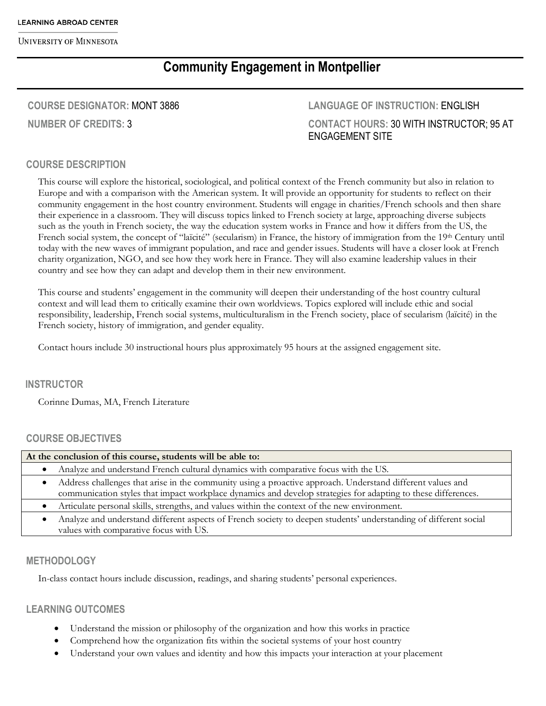# **Community Engagement in Montpellier**

### **COURSE DESIGNATOR:** MONT 3886

**NUMBER OF CREDITS:** 3

## **LANGUAGE OF INSTRUCTION:** ENGLISH **CONTACT HOURS:** 30 WITH INSTRUCTOR; 95 AT ENGAGEMENT SITE

## **COURSE DESCRIPTION**

This course will explore the historical, sociological, and political context of the French community but also in relation to Europe and with a comparison with the American system. It will provide an opportunity for students to reflect on their community engagement in the host country environment. Students will engage in charities/French schools and then share their experience in a classroom. They will discuss topics linked to French society at large, approaching diverse subjects such as the youth in French society, the way the education system works in France and how it differs from the US, the French social system, the concept of "laïcité" (secularism) in France, the history of immigration from the 19th Century until today with the new waves of immigrant population, and race and gender issues. Students will have a closer look at French charity organization, NGO, and see how they work here in France. They will also examine leadership values in their country and see how they can adapt and develop them in their new environment.

This course and students' engagement in the community will deepen their understanding of the host country cultural context and will lead them to critically examine their own worldviews. Topics explored will include ethic and social responsibility, leadership, French social systems, multiculturalism in the French society, place of secularism (laïcité) in the French society, history of immigration, and gender equality.

Contact hours include 30 instructional hours plus approximately 95 hours at the assigned engagement site.

#### **INSTRUCTOR**

Corinne Dumas, MA, French Literature

#### **COURSE OBJECTIVES**

| At the conclusion of this course, students will be able to:                                                      |  |  |  |
|------------------------------------------------------------------------------------------------------------------|--|--|--|
| Analyze and understand French cultural dynamics with comparative focus with the US.                              |  |  |  |
| Address challenges that arise in the community using a proactive approach. Understand different values and       |  |  |  |
| communication styles that impact workplace dynamics and develop strategies for adapting to these differences.    |  |  |  |
| Articulate personal skills, strengths, and values within the context of the new environment.                     |  |  |  |
| Analyze and understand different aspects of French society to deepen students' understanding of different social |  |  |  |
| values with comparative focus with US.                                                                           |  |  |  |

#### **METHODOLOGY**

In-class contact hours include discussion, readings, and sharing students' personal experiences.

## **LEARNING OUTCOMES**

- Understand the mission or philosophy of the organization and how this works in practice
- Comprehend how the organization fits within the societal systems of your host country
- Understand your own values and identity and how this impacts your interaction at your placement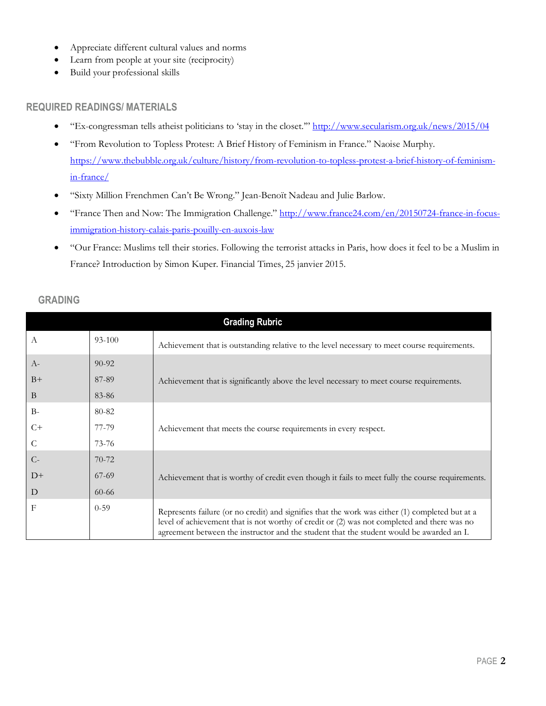- Appreciate different cultural values and norms
- Learn from people at your site (reciprocity)
- Build your professional skills

#### **REQUIRED READINGS/ MATERIALS**

- "Ex-congressman tells atheist politicians to 'stay in the closet."" http://www.secularism.org.uk/news/2015/04
- "From Revolution to Topless Protest: A Brief History of Feminism in France." Naoise Murphy. https://www.thebubble.org.uk/culture/history/from-revolution-to-topless-protest-a-brief-history-of-feminismin-france/
- "Sixty Million Frenchmen Can't Be Wrong." Jean-Benoït Nadeau and Julie Barlow.
- "France Then and Now: The Immigration Challenge." http://www.france24.com/en/20150724-france-in-focusimmigration-history-calais-paris-pouilly-en-auxois-law
- "Our France: Muslims tell their stories. Following the terrorist attacks in Paris, how does it feel to be a Muslim in France? Introduction by Simon Kuper. Financial Times, 25 janvier 2015.

| <b>Grading Rubric</b> |           |                                                                                                                                                                                                                                                                                            |  |  |
|-----------------------|-----------|--------------------------------------------------------------------------------------------------------------------------------------------------------------------------------------------------------------------------------------------------------------------------------------------|--|--|
| $\mathbf{A}$          | 93-100    | Achievement that is outstanding relative to the level necessary to meet course requirements.                                                                                                                                                                                               |  |  |
| $A-$                  | $90 - 92$ |                                                                                                                                                                                                                                                                                            |  |  |
| $B+$                  | 87-89     | Achievement that is significantly above the level necessary to meet course requirements.                                                                                                                                                                                                   |  |  |
| $\overline{B}$        | 83-86     |                                                                                                                                                                                                                                                                                            |  |  |
| $B -$                 | 80-82     |                                                                                                                                                                                                                                                                                            |  |  |
| $C+$                  | 77-79     | Achievement that meets the course requirements in every respect.                                                                                                                                                                                                                           |  |  |
| C                     | 73-76     |                                                                                                                                                                                                                                                                                            |  |  |
| $C-$                  | $70 - 72$ |                                                                                                                                                                                                                                                                                            |  |  |
| $D+$                  | $67-69$   | Achievement that is worthy of credit even though it fails to meet fully the course requirements.                                                                                                                                                                                           |  |  |
| D                     | $60 - 66$ |                                                                                                                                                                                                                                                                                            |  |  |
| $\mathbf{F}$          | $0 - 59$  | Represents failure (or no credit) and signifies that the work was either (1) completed but at a<br>level of achievement that is not worthy of credit or (2) was not completed and there was no<br>agreement between the instructor and the student that the student would be awarded an I. |  |  |

## **GRADING**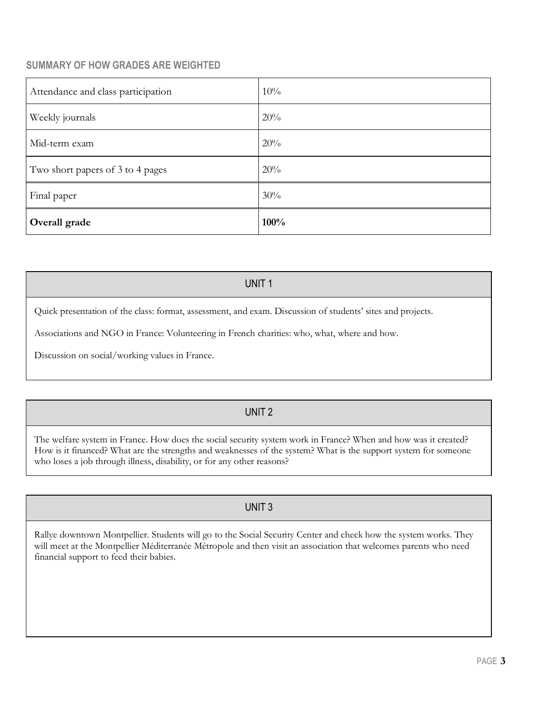## **SUMMARY OF HOW GRADES ARE WEIGHTED**

| Final paper                        | 30% |
|------------------------------------|-----|
| Two short papers of 3 to 4 pages   | 20% |
| Mid-term exam                      | 20% |
| Weekly journals                    | 20% |
| Attendance and class participation | 10% |

#### UNIT 1

Quick presentation of the class: format, assessment, and exam. Discussion of students' sites and projects.

Associations and NGO in France: Volunteering in French charities: who, what, where and how.

Discussion on social/working values in France.

## UNIT 2

The welfare system in France. How does the social security system work in France? When and how was it created? How is it financed? What are the strengths and weaknesses of the system? What is the support system for someone who loses a job through illness, disability, or for any other reasons?

## UNIT 3

Rallye downtown Montpellier. Students will go to the Social Security Center and check how the system works. They will meet at the Montpellier Méditerranée Métropole and then visit an association that welcomes parents who need financial support to feed their babies.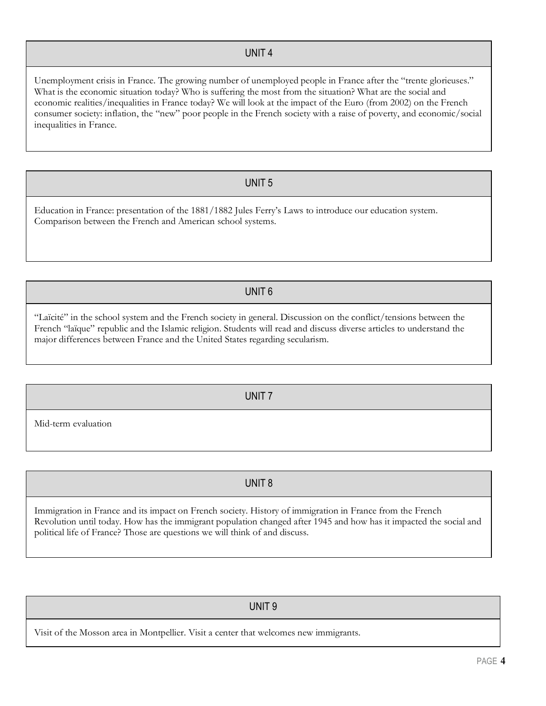#### UNIT 4

Unemployment crisis in France. The growing number of unemployed people in France after the "trente glorieuses." What is the economic situation today? Who is suffering the most from the situation? What are the social and economic realities/inequalities in France today? We will look at the impact of the Euro (from 2002) on the French consumer society: inflation, the "new" poor people in the French society with a raise of poverty, and economic/social inequalities in France.

#### UNIT 5

Education in France: presentation of the 1881/1882 Jules Ferry's Laws to introduce our education system. Comparison between the French and American school systems.

#### UNIT 6

"Laïcité" in the school system and the French society in general. Discussion on the conflict/tensions between the French "laïque" republic and the Islamic religion. Students will read and discuss diverse articles to understand the major differences between France and the United States regarding secularism.

UNIT 7

Mid-term evaluation

UNIT 8

Immigration in France and its impact on French society. History of immigration in France from the French Revolution until today. How has the immigrant population changed after 1945 and how has it impacted the social and political life of France? Those are questions we will think of and discuss.

## UNIT 9

Visit of the Mosson area in Montpellier. Visit a center that welcomes new immigrants.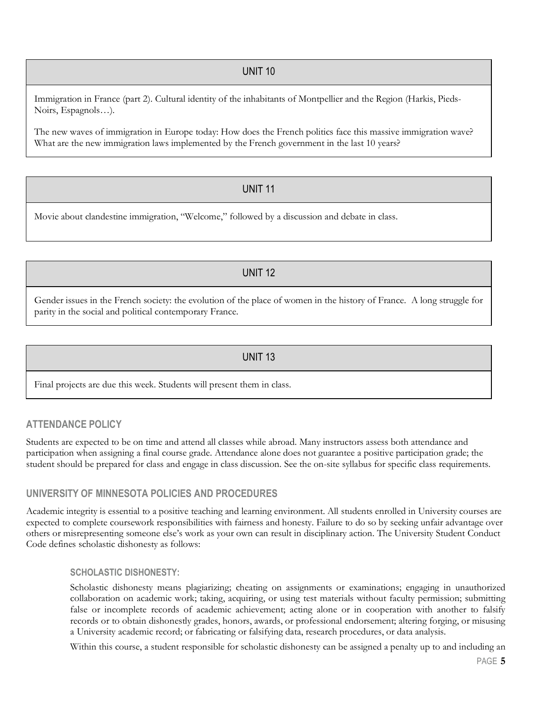## UNIT 10

Immigration in France (part 2). Cultural identity of the inhabitants of Montpellier and the Region (Harkis, Pieds-Noirs, Espagnols…).

The new waves of immigration in Europe today: How does the French politics face this massive immigration wave? What are the new immigration laws implemented by the French government in the last 10 years?

## UNIT 11

Movie about clandestine immigration, "Welcome," followed by a discussion and debate in class.

## UNIT 12

Gender issues in the French society: the evolution of the place of women in the history of France. A long struggle for parity in the social and political contemporary France.

## UNIT 13

Final projects are due this week. Students will present them in class.

## **ATTENDANCE POLICY**

Students are expected to be on time and attend all classes while abroad. Many instructors assess both attendance and participation when assigning a final course grade. Attendance alone does not guarantee a positive participation grade; the student should be prepared for class and engage in class discussion. See the on-site syllabus for specific class requirements.

#### **UNIVERSITY OF MINNESOTA POLICIES AND PROCEDURES**

Academic integrity is essential to a positive teaching and learning environment. All students enrolled in University courses are expected to complete coursework responsibilities with fairness and honesty. Failure to do so by seeking unfair advantage over others or misrepresenting someone else's work as your own can result in disciplinary action. The University Student Conduct Code defines scholastic dishonesty as follows:

#### **SCHOLASTIC DISHONESTY:**

Scholastic dishonesty means plagiarizing; cheating on assignments or examinations; engaging in unauthorized collaboration on academic work; taking, acquiring, or using test materials without faculty permission; submitting false or incomplete records of academic achievement; acting alone or in cooperation with another to falsify records or to obtain dishonestly grades, honors, awards, or professional endorsement; altering forging, or misusing a University academic record; or fabricating or falsifying data, research procedures, or data analysis.

Within this course, a student responsible for scholastic dishonesty can be assigned a penalty up to and including an